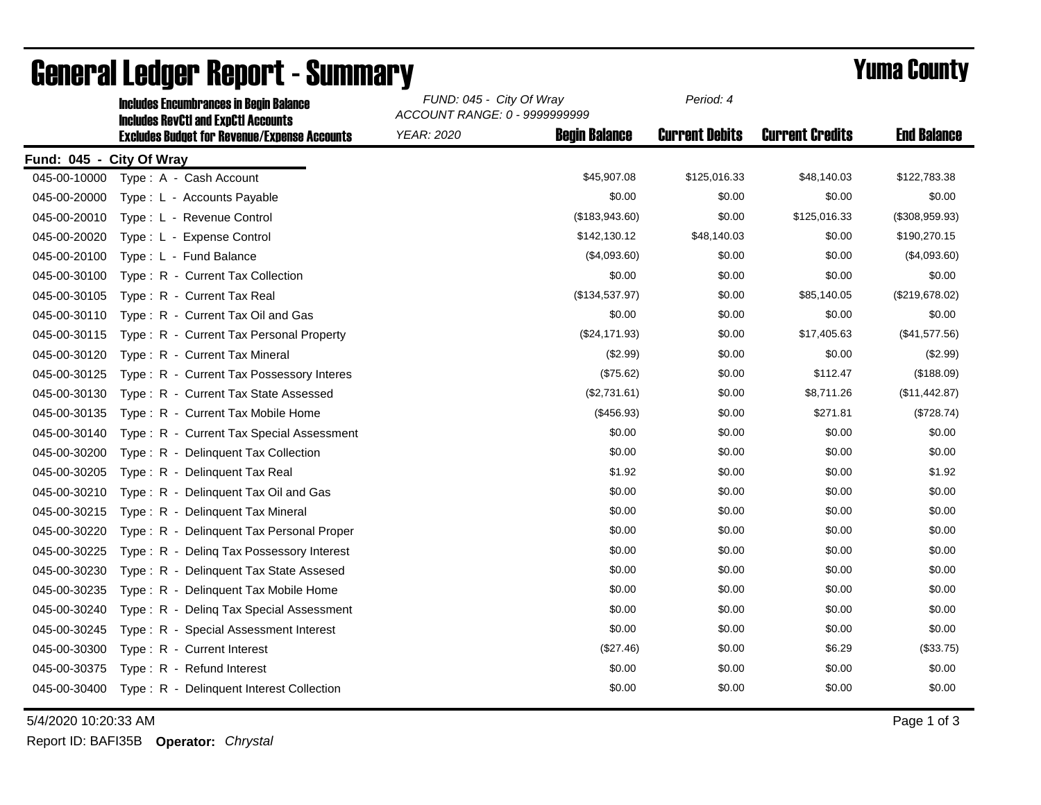|                          | <b>Includes Encumbrances in Begin Balance</b>                                                     | FUND: 045 - City Of Wray<br>ACCOUNT RANGE: 0 - 9999999999 |                      | Period: 4             |                        |                    |
|--------------------------|---------------------------------------------------------------------------------------------------|-----------------------------------------------------------|----------------------|-----------------------|------------------------|--------------------|
|                          | <b>Includes RevCtI and ExpCtI Accounts</b><br><b>Excludes Budget for Revenue/Expense Accounts</b> | <b>YEAR: 2020</b>                                         | <b>Begin Balance</b> | <b>Current Debits</b> | <b>Current Credits</b> | <b>End Balance</b> |
| Fund: 045 - City Of Wray |                                                                                                   |                                                           |                      |                       |                        |                    |
| 045-00-10000             | Type: A - Cash Account                                                                            |                                                           | \$45,907.08          | \$125,016.33          | \$48,140.03            | \$122,783.38       |
| 045-00-20000             | Type: L - Accounts Payable                                                                        |                                                           | \$0.00               | \$0.00                | \$0.00                 | \$0.00             |
| 045-00-20010             | Type: L - Revenue Control                                                                         |                                                           | (\$183,943.60)       | \$0.00                | \$125,016.33           | (\$308,959.93)     |
| 045-00-20020             | Type: L - Expense Control                                                                         |                                                           | \$142,130.12         | \$48,140.03           | \$0.00                 | \$190,270.15       |
| 045-00-20100             | Type: L - Fund Balance                                                                            |                                                           | (\$4,093.60)         | \$0.00                | \$0.00                 | (\$4,093.60)       |
| 045-00-30100             | Type: R - Current Tax Collection                                                                  |                                                           | \$0.00               | \$0.00                | \$0.00                 | \$0.00             |
| 045-00-30105             | Type: R - Current Tax Real                                                                        |                                                           | (\$134,537.97)       | \$0.00                | \$85,140.05            | (\$219,678.02)     |
| 045-00-30110             | Type: R - Current Tax Oil and Gas                                                                 |                                                           | \$0.00               | \$0.00                | \$0.00                 | \$0.00             |
| 045-00-30115             | Type: R - Current Tax Personal Property                                                           |                                                           | (\$24,171.93)        | \$0.00                | \$17,405.63            | (\$41,577.56)      |
| 045-00-30120             | Type: R - Current Tax Mineral                                                                     |                                                           | (\$2.99)             | \$0.00                | \$0.00                 | (\$2.99)           |
| 045-00-30125             | Type: R - Current Tax Possessory Interes                                                          |                                                           | (\$75.62)            | \$0.00                | \$112.47               | (\$188.09)         |
| 045-00-30130             | Type: R - Current Tax State Assessed                                                              |                                                           | (\$2,731.61)         | \$0.00                | \$8,711.26             | (\$11,442.87)      |
| 045-00-30135             | Type: R - Current Tax Mobile Home                                                                 |                                                           | (\$456.93)           | \$0.00                | \$271.81               | (\$728.74)         |
| 045-00-30140             | Type: R - Current Tax Special Assessment                                                          |                                                           | \$0.00               | \$0.00                | \$0.00                 | \$0.00             |
| 045-00-30200             | Type: R - Delinquent Tax Collection                                                               |                                                           | \$0.00               | \$0.00                | \$0.00                 | \$0.00             |
| 045-00-30205             | Type: R - Delinquent Tax Real                                                                     |                                                           | \$1.92               | \$0.00                | \$0.00                 | \$1.92             |
| 045-00-30210             | Type: R - Delinquent Tax Oil and Gas                                                              |                                                           | \$0.00               | \$0.00                | \$0.00                 | \$0.00             |
| 045-00-30215             | Type: R - Delinguent Tax Mineral                                                                  |                                                           | \$0.00               | \$0.00                | \$0.00                 | \$0.00             |
| 045-00-30220             | Type: R - Delinquent Tax Personal Proper                                                          |                                                           | \$0.00               | \$0.00                | \$0.00                 | \$0.00             |
| 045-00-30225             | Type: R - Deling Tax Possessory Interest                                                          |                                                           | \$0.00               | \$0.00                | \$0.00                 | \$0.00             |
| 045-00-30230             | Type: R - Delinguent Tax State Assesed                                                            |                                                           | \$0.00               | \$0.00                | \$0.00                 | \$0.00             |
| 045-00-30235             | Type: R - Delinguent Tax Mobile Home                                                              |                                                           | \$0.00               | \$0.00                | \$0.00                 | \$0.00             |
| 045-00-30240             | Type: R - Deling Tax Special Assessment                                                           |                                                           | \$0.00               | \$0.00                | \$0.00                 | \$0.00             |
| 045-00-30245             | Type: R - Special Assessment Interest                                                             |                                                           | \$0.00               | \$0.00                | \$0.00                 | \$0.00             |
| 045-00-30300             | Type: R - Current Interest                                                                        |                                                           | (\$27.46)            | \$0.00                | \$6.29                 | (\$33.75)          |
| 045-00-30375             | Type: R - Refund Interest                                                                         |                                                           | \$0.00               | \$0.00                | \$0.00                 | \$0.00             |
| 045-00-30400             | Type: R - Delinquent Interest Collection                                                          |                                                           | \$0.00               | \$0.00                | \$0.00                 | \$0.00             |

## General Ledger Report - Summary<br>
FUND: 045 - City Of Wray Period: 4

5/4/2020 10:20:33 AM Page 1 of 3

*Period: 4*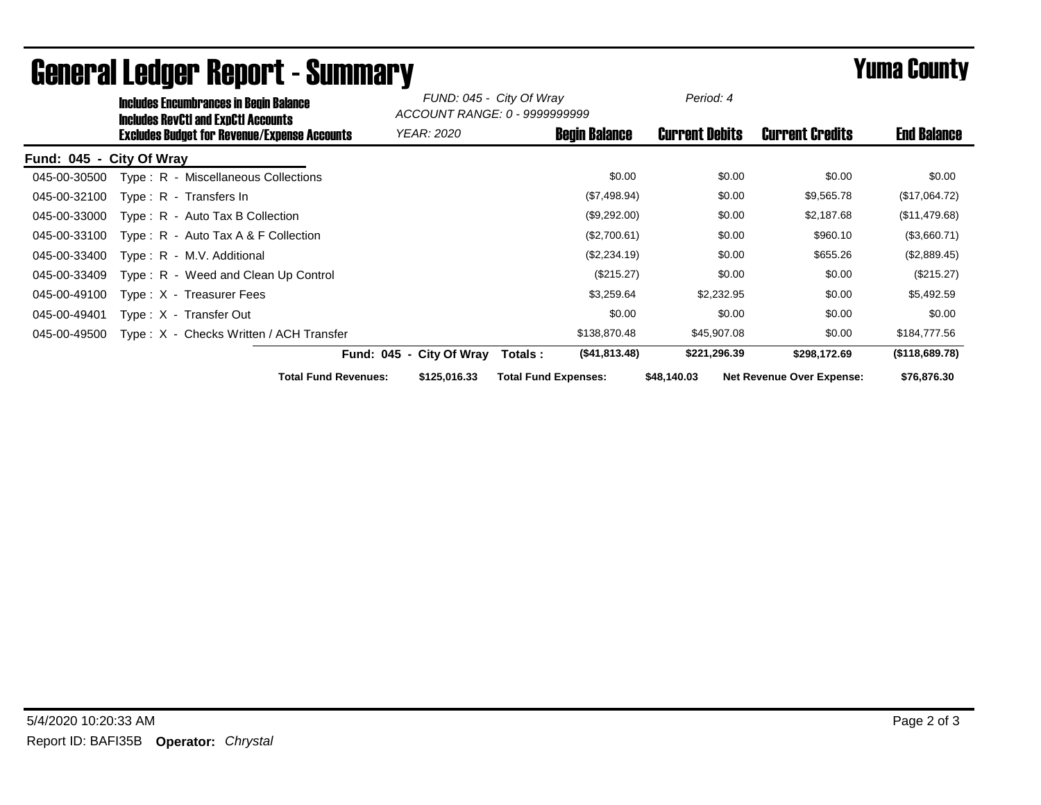| <b>Includes Encumbrances in Begin Balance</b><br><b>Includes RevCtI and ExpCtI Accounts</b> |                                             | FUND: 045 - City Of Wray<br>ACCOUNT RANGE: 0 - 9999999999 |                       |                                  |                    |
|---------------------------------------------------------------------------------------------|---------------------------------------------|-----------------------------------------------------------|-----------------------|----------------------------------|--------------------|
| <b>Excludes Budget for Revenue/Expense Accounts</b>                                         | <i>YEAR: 2020</i>                           | <b>Begin Balance</b>                                      | <b>Current Debits</b> | <b>Current Credits</b>           | <b>End Balance</b> |
| Fund: 045 - City Of Wray                                                                    |                                             |                                                           |                       |                                  |                    |
| Type: R - Miscellaneous Collections<br>045-00-30500                                         |                                             | \$0.00                                                    | \$0.00                | \$0.00                           | \$0.00             |
| 045-00-32100<br>Type: $R -$ Transfers In                                                    |                                             | (\$7,498.94)                                              | \$0.00                | \$9,565.78                       | (\$17,064.72)      |
| 045-00-33000<br>$Type: R - Auto Tax B Collection$                                           |                                             | (\$9,292.00)                                              | \$0.00                | \$2,187.68                       | (\$11,479.68)      |
| 045-00-33100<br>Type: $R -$ Auto Tax A & F Collection                                       |                                             | (\$2,700.61)                                              | \$0.00                | \$960.10                         | (\$3,660.71)       |
| 045-00-33400<br>Type: R - M.V. Additional                                                   |                                             | (\$2,234.19)                                              | \$0.00                | \$655.26                         | (\$2,889.45)       |
| 045-00-33409<br>Type: R - Weed and Clean Up Control                                         |                                             | (\$215.27)                                                | \$0.00                | \$0.00                           | (\$215.27)         |
| 045-00-49100<br>Type: X - Treasurer Fees                                                    |                                             | \$3,259.64                                                | \$2,232.95            | \$0.00                           | \$5,492.59         |
| 045-00-49401<br>Type: X - Transfer Out                                                      |                                             | \$0.00                                                    | \$0.00                | \$0.00                           | \$0.00             |
| Type: X - Checks Written / ACH Transfer<br>045-00-49500                                     |                                             | \$138,870.48                                              | \$45,907.08           | \$0.00                           | \$184,777.56       |
|                                                                                             | Fund: 045 - City Of Wray                    | (\$41,813.48)<br>Totals:                                  | \$221,296.39          | \$298,172.69                     | (\$118,689.78)     |
|                                                                                             | <b>Total Fund Revenues:</b><br>\$125,016.33 | <b>Total Fund Expenses:</b>                               | \$48,140.03           | <b>Net Revenue Over Expense:</b> | \$76,876.30        |

## General Ledger Report - Summary **Example 2018** Yuma County